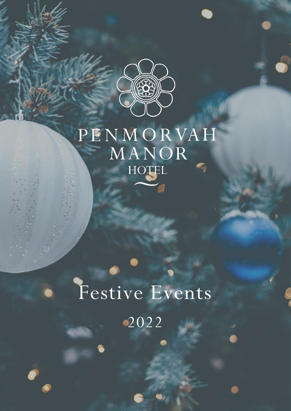

# PENMORVAH MANOR HOTEL

# Festive Events 2022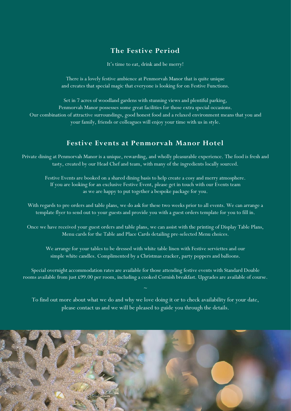# **The Festive Period**

It's time to eat, drink and be merry!

There is a lovely festive ambience at Penmorvah Manor that is quite unique and creates that special magic that everyone is looking for on Festive Functions.

Set in 7 acres of woodland gardens with stunning views and plentiful parking, Penmorvah Manor possesses some great facilities for those extra special occasions. Our combination of attractive surroundings, good honest food and a relaxed environment means that you and your family, friends or colleagues will enjoy your time with us in style.

# **Festive Events at Penmorvah Manor Hotel**

Private dining at Penmorvah Manor is a unique, rewarding, and wholly pleasurable experience. The food is fresh and tasty, created by our Head Chef and team, with many of the ingredients locally sourced.

Festive Events are booked on a shared dining basis to help create a cosy and merry atmosphere. If you are looking for an exclusive Festive Event, please get in touch with our Events team as we are happy to put together a bespoke package for you.

With regards to pre orders and table plans, we do ask for these two weeks prior to all events. We can arrange a template flyer to send out to your guests and provide you with a guest orders template for you to fill in.

Once we have received your guest orders and table plans, we can assist with the printing of Display Table Plans, Menu cards for the Table and Place Cards detailing pre-selected Menu choices.

We arrange for your tables to be dressed with white table linen with Festive serviettes and our simple white candles. Complimented by a Christmas cracker, party poppers and balloons.

Special overnight accommodation rates are available for those attending festive events with Standard Double rooms available from just £99.00 per room, including a cooked Cornish breakfast. Upgrades are available of course.

To find out more about what we do and why we love doing it or to check availability for your date, please contact us and we will be pleased to guide you through the details.

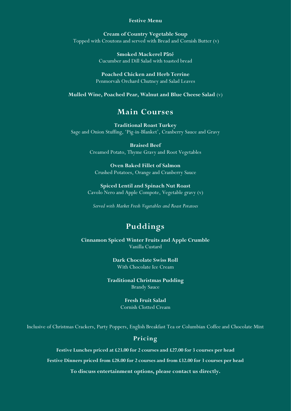#### **Festive Menu**

**Cream of Country Vegetable Soup** Topped with Croutons and served with Bread and Cornish Butter  $(v)$ 

> **Smoked Mackerel Pâté** Cucumber and Dill Salad with toasted bread

**Poached Chicken and Herb Terrine** Penmorvah Orchard Chutney and Salad Leaves

**Mulled Wine, Poached Pear, Walnut and Blue Cheese Salad** (v)

# **Main Courses**

**Traditional Roast Turkey** Sage and Onion Stuffing, 'Pig-in-Blanket', Cranberry Sauce and Gravy

> **Braised Beef**  Creamed Potato, Thyme Gravy and Root Vegetables

**Oven Baked Fillet of Salmon** Crushed Potatoes, Orange and Cranberry Sauce

**Spiced Lentil and Spinach Nut Roast** Cavolo Nero and Apple Compote, Vegetable gravy (v)

*Served with Market Fresh Vegetables and Roast Potatoes*

# **Puddings**

**Cinnamon Spiced Winter Fruits and Apple Crumble** Vanilla Custard

> **Dark Chocolate Swiss Roll** With Chocolate Ice Cream

**Traditional Christmas Pudding**  Brandy Sauce

> **Fresh Fruit Salad** Cornish Clotted Cream

Inclusive of Christmas Crackers, Party Poppers, English Breakfast Tea or Columbian Coffee and Chocolate Mint

#### **Pricing**

**Festive Lunches priced at £23.00 for 2 courses and £27.00 for 3 courses per head**

**Festive Dinners priced from £28.00 for 2 courses and from £32.00 for 3 courses per head**

**To discuss entertainment options, please contact us directly.**